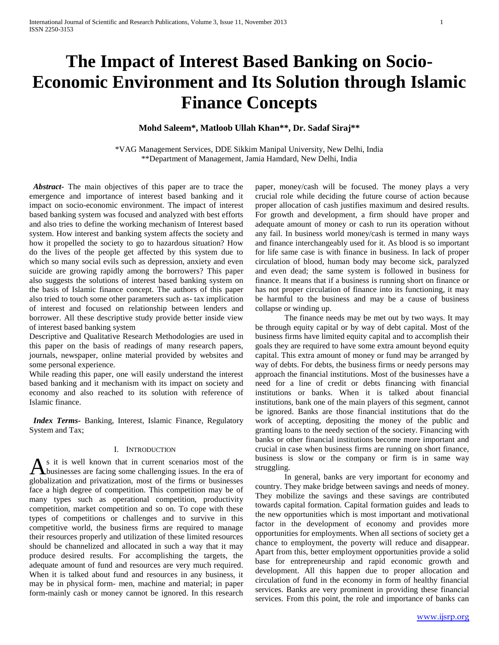# **The Impact of Interest Based Banking on Socio-Economic Environment and Its Solution through Islamic Finance Concepts**

# **Mohd Saleem\*, Matloob Ullah Khan\*\*, Dr. Sadaf Siraj\*\***

\*VAG Management Services, DDE Sikkim Manipal University, New Delhi, India \*\*Department of Management, Jamia Hamdard, New Delhi, India

 *Abstract-* The main objectives of this paper are to trace the emergence and importance of interest based banking and it impact on socio-economic environment. The impact of interest based banking system was focused and analyzed with best efforts and also tries to define the working mechanism of Interest based system. How interest and banking system affects the society and how it propelled the society to go to hazardous situation? How do the lives of the people get affected by this system due to which so many social evils such as depression, anxiety and even suicide are growing rapidly among the borrowers? This paper also suggests the solutions of interest based banking system on the basis of Islamic finance concept. The authors of this paper also tried to touch some other parameters such as- tax implication of interest and focused on relationship between lenders and borrower. All these descriptive study provide better inside view of interest based banking system

Descriptive and Qualitative Research Methodologies are used in this paper on the basis of readings of many research papers, journals, newspaper, online material provided by websites and some personal experience.

While reading this paper, one will easily understand the interest based banking and it mechanism with its impact on society and economy and also reached to its solution with reference of Islamic finance.

 *Index Terms***-** Banking, Interest, Islamic Finance, Regulatory System and Tax;

#### I. INTRODUCTION

s it is well known that in current scenarios most of the As it is well known that in current scenarios most of the businesses are facing some challenging issues. In the era of globalization and privatization, most of the firms or businesses face a high degree of competition. This competition may be of many types such as operational competition, productivity competition, market competition and so on. To cope with these types of competitions or challenges and to survive in this competitive world, the business firms are required to manage their resources properly and utilization of these limited resources should be channelized and allocated in such a way that it may produce desired results. For accomplishing the targets, the adequate amount of fund and resources are very much required. When it is talked about fund and resources in any business, it may be in physical form- men, machine and material; in paper form-mainly cash or money cannot be ignored. In this research

paper, money/cash will be focused. The money plays a very crucial role while deciding the future course of action because proper allocation of cash justifies maximum and desired results. For growth and development, a firm should have proper and adequate amount of money or cash to run its operation without any fail. In business world money/cash is termed in many ways and finance interchangeably used for it. As blood is so important for life same case is with finance in business. In lack of proper circulation of blood, human body may become sick, paralyzed and even dead; the same system is followed in business for finance. It means that if a business is running short on finance or has not proper circulation of finance into its functioning, it may be harmful to the business and may be a cause of business collapse or winding up.

The finance needs may be met out by two ways. It may be through equity capital or by way of debt capital. Most of the business firms have limited equity capital and to accomplish their goals they are required to have some extra amount beyond equity capital. This extra amount of money or fund may be arranged by way of debts. For debts, the business firms or needy persons may approach the financial institutions. Most of the businesses have a need for a line of credit or debts financing with financial institutions or banks. When it is talked about financial institutions, bank one of the main players of this segment, cannot be ignored. Banks are those financial institutions that do the work of accepting, depositing the money of the public and granting loans to the needy section of the society. Financing with banks or other financial institutions become more important and crucial in case when business firms are running on short finance, business is slow or the company or firm is in same way struggling.

In general, banks are very important for economy and country. They make bridge between savings and needs of money. They mobilize the savings and these savings are contributed towards capital formation. Capital formation guides and leads to the new opportunities which is most important and motivational factor in the development of economy and provides more opportunities for employments. When all sections of society get a chance to employment, the poverty will reduce and disappear. Apart from this, better employment opportunities provide a solid base for entrepreneurship and rapid economic growth and development. All this happen due to proper allocation and circulation of fund in the economy in form of healthy financial services. Banks are very prominent in providing these financial services. From this point, the role and importance of banks can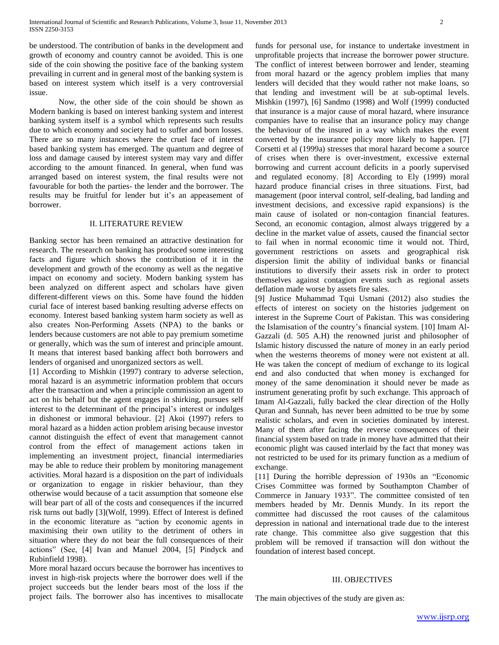be understood. The contribution of banks in the development and growth of economy and country cannot be avoided. This is one side of the coin showing the positive face of the banking system prevailing in current and in general most of the banking system is based on interest system which itself is a very controversial issue.

Now, the other side of the coin should be shown as Modern banking is based on interest banking system and interest banking system itself is a symbol which represents such results due to which economy and society had to suffer and born losses. There are so many instances where the cruel face of interest based banking system has emerged. The quantum and degree of loss and damage caused by interest system may vary and differ according to the amount financed. In general, when fund was arranged based on interest system, the final results were not favourable for both the parties- the lender and the borrower. The results may be fruitful for lender but it's an appeasement of borrower.

## II. LITERATURE REVIEW

Banking sector has been remained an attractive destination for research. The research on banking has produced some interesting facts and figure which shows the contribution of it in the development and growth of the economy as well as the negative impact on economy and society. Modern banking system has been analyzed on different aspect and scholars have given different-different views on this. Some have found the hidden curial face of interest based banking resulting adverse effects on economy. Interest based banking system harm society as well as also creates Non-Performing Assets (NPA) to the banks or lenders because customers are not able to pay premium sometime or generally, which was the sum of interest and principle amount. It means that interest based banking affect both borrowers and lenders of organised and unorganized sectors as well.

[1] According to Mishkin (1997) contrary to adverse selection, moral hazard is an asymmetric information problem that occurs after the transaction and when a principle commission an agent to act on his behalf but the agent engages in shirking, pursues self interest to the determinant of the principal's interest or indulges in dishonest or immoral behaviour. [2] Akoi (1997) refers to moral hazard as a hidden action problem arising because investor cannot distinguish the effect of event that management cannot control from the effect of management actions taken in implementing an investment project, financial intermediaries may be able to reduce their problem by monitoring management activities. Moral hazard is a disposition on the part of individuals or organization to engage in riskier behaviour, than they otherwise would because of a tacit assumption that someone else will bear part of all of the costs and consequences if the incurred risk turns out badly [3](Wolf, 1999). Effect of Interest is defined in the economic literature as "action by economic agents in maximising their own utility to the detriment of others in situation where they do not bear the full consequences of their actions" (See, [4] Ivan and Manuel 2004, [5] Pindyck and Rubinfield 1998).

More moral hazard occurs because the borrower has incentives to invest in high-risk projects where the borrower does well if the project succeeds but the lender bears most of the loss if the project fails. The borrower also has incentives to misallocate funds for personal use, for instance to undertake investment in unprofitable projects that increase the borrower power structure. The conflict of interest between borrower and lender, steaming from moral hazard or the agency problem implies that many lenders will decided that they would rather not make loans, so that lending and investment will be at sub-optimal levels. Mishkin (1997), [6] Sandmo (1998) and Wolf (1999) conducted that insurance is a major cause of moral hazard, where insurance companies have to realise that an insurance policy may change the behaviour of the insured in a way which makes the event converted by the insurance policy more likely to happen. [7] Corsetti et al (1999a) stresses that moral hazard become a source of crises when there is over-investment, excessive external borrowing and current account deficits in a poorly supervised and regulated economy. [8] According to Ely (1999) moral hazard produce financial crises in three situations. First, bad management (poor interval control, self-dealing, bad landing and investment decisions, and excessive rapid expansions) is the main cause of isolated or non-contagion financial features. Second, an economic contagion, almost always triggered by a decline in the market value of assets, caused the financial sector to fail when in normal economic time it would not. Third, government restrictions on assets and geographical risk dispersion limit the ability of individual banks or financial institutions to diversify their assets risk in order to protect themselves against contagion events such as regional assets deflation made worse by assets fire sales.

[9] Justice Muhammad Tqui Usmani (2012) also studies the effects of interest on society on the histories judgement on interest in the Supreme Court of Pakistan. This was considering the Islamisation of the country's financial system. [10] Imam Al-Gazzali (d. 505 A.H) the renowned jurist and philosopher of Islamic history discussed the nature of money in an early period when the westerns theorems of money were not existent at all. He was taken the concept of medium of exchange to its logical end and also conducted that when money is exchanged for money of the same denomination it should never be made as instrument generating profit by such exchange. This approach of Imam Al-Gazzali, fully backed the clear direction of the Holly Quran and Sunnah, has never been admitted to be true by some realistic scholars, and even in societies dominated by interest. Many of them after facing the reverse consequences of their financial system based on trade in money have admitted that their economic plight was caused interlaid by the fact that money was not restricted to be used for its primary function as a medium of exchange.

[11] During the horrible depression of 1930s an "Economic Crises Committee was formed by Southampton Chamber of Commerce in January 1933". The committee consisted of ten members headed by Mr. Dennis Mundy. In its report the committee had discussed the root causes of the calamitous depression in national and international trade due to the interest rate change. This committee also give suggestion that this problem will be removed if transaction will don without the foundation of interest based concept.

#### III. OBJECTIVES

The main objectives of the study are given as: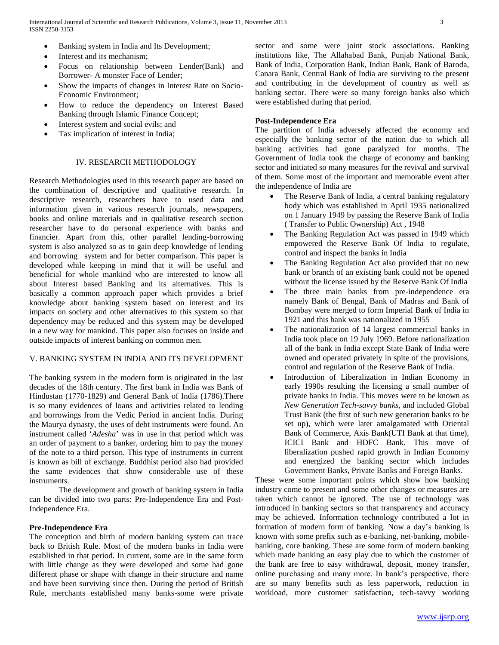- Banking system in India and Its Development;
- Interest and its mechanism;
- Focus on relationship between Lender(Bank) and Borrower- A monster Face of Lender;
- Show the impacts of changes in Interest Rate on Socio-Economic Environment;
- How to reduce the dependency on Interest Based Banking through Islamic Finance Concept;
- Interest system and social evils; and
- Tax implication of interest in India;

## IV. RESEARCH METHODOLOGY

Research Methodologies used in this research paper are based on the combination of descriptive and qualitative research. In descriptive research, researchers have to used data and information given in various research journals, newspapers, books and online materials and in qualitative research section researcher have to do personal experience with banks and financier. Apart from this, other parallel lending-borrowing system is also analyzed so as to gain deep knowledge of lending and borrowing system and for better comparison. This paper is developed while keeping in mind that it will be useful and beneficial for whole mankind who are interested to know all about Interest based Banking and its alternatives. This is basically a common approach paper which provides a brief knowledge about banking system based on interest and its impacts on society and other alternatives to this system so that dependency may be reduced and this system may be developed in a new way for mankind. This paper also focuses on inside and outside impacts of interest banking on common men.

# V. BANKING SYSTEM IN INDIA AND ITS DEVELOPMENT

The banking system in the modern form is originated in the last decades of the 18th century. The first bank in India was Bank of Hindustan (1770-1829) and General Bank of India (1786).There is so many evidences of loans and activities related to lending and borrowings from the Vedic Period in ancient India. During the Maurya dynasty, the uses of debt instruments were found. An instrument called '*Adesha*' was in use in that period which was an order of payment to a banker, ordering him to pay the money of the note to a third person. This type of instruments in current is known as bill of exchange. Buddhist period also had provided the same evidences that show considerable use of these instruments.

The development and growth of banking system in India can be divided into two parts: Pre-Independence Era and Post-Independence Era.

#### **Pre-Independence Era**

The conception and birth of modern banking system can trace back to British Rule. Most of the modern banks in India were established in that period. In current, some are in the same form with little change as they were developed and some had gone different phase or shape with change in their structure and name and have been surviving since then. During the period of British Rule, merchants established many banks-some were private sector and some were joint stock associations. Banking institutions like, The Allahabad Bank, Punjab National Bank, Bank of India, Corporation Bank, Indian Bank, Bank of Baroda, Canara Bank, Central Bank of India are surviving to the present and contributing in the development of country as well as banking sector. There were so many foreign banks also which were established during that period.

## **Post-Independence Era**

The partition of India adversely affected the economy and especially the banking sector of the nation due to which all banking activities had gone paralyzed for months. The Government of India took the charge of economy and banking sector and initiated so many measures for the revival and survival of them. Some most of the important and memorable event after the independence of India are

- The Reserve Bank of India, a central banking regulatory body which was established in April 1935 nationalized on 1 January 1949 by passing the Reserve Bank of India ( Transfer to Public Ownership) Act , 1948
- The Banking Regulation Act was passed in 1949 which empowered the Reserve Bank Of India to regulate, control and inspect the banks in India
- The Banking Regulation Act also provided that no new bank or branch of an existing bank could not be opened without the license issued by the Reserve Bank Of India
- The three main banks from pre-independence era namely Bank of Bengal, Bank of Madras and Bank of Bombay were merged to form Imperial Bank of India in 1921 and this bank was nationalized in 1955
- The nationalization of 14 largest commercial banks in India took place on 19 July 1969. Before nationalization all of the bank in India except State Bank of India were owned and operated privately in spite of the provisions, control and regulation of the Reserve Bank of India.
- Introduction of Liberalization in Indian Economy in early 1990s resulting the licensing a small number of private banks in India. This moves were to be known as *New Generation Tech-savvy banks*, and included Global Trust Bank (the first of such new generation banks to be set up), which were later amalgamated with Oriental Bank of Commerce, Axis Bank(UTI Bank at that time), ICICI Bank and HDFC Bank. This move of liberalization pushed rapid growth in Indian Economy and energized the banking sector which includes Government Banks, Private Banks and Foreign Banks.

These were some important points which show how banking industry come to present and some other changes or measures are taken which cannot be ignored. The use of technology was introduced in banking sectors so that transparency and accuracy may be achieved. Information technology contributed a lot in formation of modern form of banking. Now a day's banking is known with some prefix such as e-banking, net-banking, mobilebanking, core banking. These are some form of modern banking which made banking an easy play due to which the customer of the bank are free to easy withdrawal, deposit, money transfer, online purchasing and many more. In bank's perspective, there are so many benefits such as less paperwork, reduction in workload, more customer satisfaction, tech-savvy working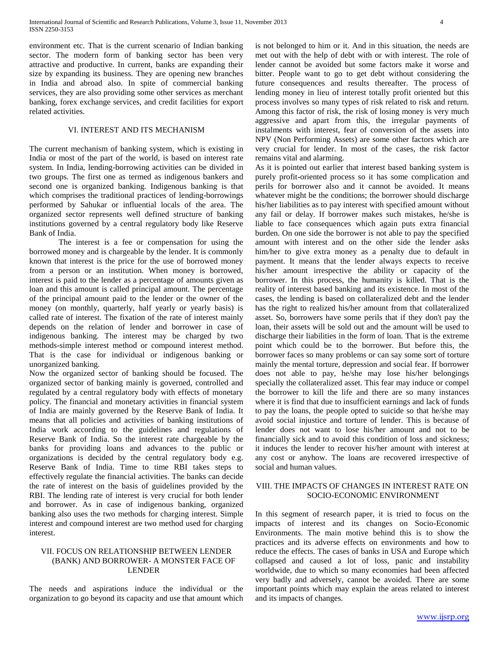environment etc. That is the current scenario of Indian banking sector. The modern form of banking sector has been very attractive and productive. In current, banks are expanding their size by expanding its business. They are opening new branches in India and abroad also. In spite of commercial banking services, they are also providing some other services as merchant banking, forex exchange services, and credit facilities for export related activities.

# VI. INTEREST AND ITS MECHANISM

The current mechanism of banking system, which is existing in India or most of the part of the world, is based on interest rate system. In India, lending-borrowing activities can be divided in two groups. The first one as termed as indigenous bankers and second one is organized banking. Indigenous banking is that which comprises the traditional practices of lending-borrowings performed by Sahukar or influential locals of the area. The organized sector represents well defined structure of banking institutions governed by a central regulatory body like Reserve Bank of India.

The interest is a fee or compensation for using the borrowed money and is chargeable by the lender. It is commonly known that interest is the price for the use of borrowed money from a person or an institution. When money is borrowed, interest is paid to the lender as a percentage of amounts given as loan and this amount is called principal amount. The percentage of the principal amount paid to the lender or the owner of the money (on monthly, quarterly, half yearly or yearly basis) is called rate of interest. The fixation of the rate of interest mainly depends on the relation of lender and borrower in case of indigenous banking. The interest may be charged by two methods-simple interest method or compound interest method. That is the case for individual or indigenous banking or unorganized banking.

Now the organized sector of banking should be focused. The organized sector of banking mainly is governed, controlled and regulated by a central regulatory body with effects of monetary policy. The financial and monetary activities in financial system of India are mainly governed by the Reserve Bank of India. It means that all policies and activities of banking institutions of India work according to the guidelines and regulations of Reserve Bank of India. So the interest rate chargeable by the banks for providing loans and advances to the public or organizations is decided by the central regulatory body e.g. Reserve Bank of India. Time to time RBI takes steps to effectively regulate the financial activities. The banks can decide the rate of interest on the basis of guidelines provided by the RBI. The lending rate of interest is very crucial for both lender and borrower. As in case of indigenous banking, organized banking also uses the two methods for charging interest. Simple interest and compound interest are two method used for charging interest.

## VII. FOCUS ON RELATIONSHIP BETWEEN LENDER (BANK) AND BORROWER- A MONSTER FACE OF LENDER

The needs and aspirations induce the individual or the organization to go beyond its capacity and use that amount which is not belonged to him or it. And in this situation, the needs are met out with the help of debt with or with interest. The role of lender cannot be avoided but some factors make it worse and bitter. People want to go to get debt without considering the future consequences and results thereafter. The process of lending money in lieu of interest totally profit oriented but this process involves so many types of risk related to risk and return. Among this factor of risk, the risk of losing money is very much aggressive and apart from this, the irregular payments of instalments with interest, fear of conversion of the assets into NPV (Non Performing Assets) are some other factors which are very crucial for lender. In most of the cases, the risk factor remains vital and alarming.

As it is pointed out earlier that interest based banking system is purely profit-oriented process so it has some complication and perils for borrower also and it cannot be avoided. It means whatever might be the conditions; the borrower should discharge his/her liabilities as to pay interest with specified amount without any fail or delay. If borrower makes such mistakes, he/she is liable to face consequences which again puts extra financial burden. On one side the borrower is not able to pay the specified amount with interest and on the other side the lender asks him/her to give extra money as a penalty due to default in payment. It means that the lender always expects to receive his/her amount irrespective the ability or capacity of the borrower. In this process, the humanity is killed. That is the reality of interest based banking and its existence. In most of the cases, the lending is based on collateralized debt and the lender has the right to realized his/her amount from that collateralized asset. So, borrowers have some perils that if they don't pay the loan, their assets will be sold out and the amount will be used to discharge their liabilities in the form of loan. That is the extreme point which could be to the borrower. But before this, the borrower faces so many problems or can say some sort of torture mainly the mental torture, depression and social fear. If borrower does not able to pay, he/she may lose his/her belongings specially the collateralized asset. This fear may induce or compel the borrower to kill the life and there are so many instances where it is find that due to insufficient earnings and lack of funds to pay the loans, the people opted to suicide so that he/she may avoid social injustice and torture of lender. This is because of lender does not want to lose his/her amount and not to be financially sick and to avoid this condition of loss and sickness; it induces the lender to recover his/her amount with interest at any cost or anyhow. The loans are recovered irrespective of social and human values.

## VIII. THE IMPACTS OF CHANGES IN INTEREST RATE ON SOCIO-ECONOMIC ENVIRONMENT

In this segment of research paper, it is tried to focus on the impacts of interest and its changes on Socio-Economic Environments. The main motive behind this is to show the practices and its adverse effects on environments and how to reduce the effects. The cases of banks in USA and Europe which collapsed and caused a lot of loss, panic and instability worldwide, due to which so many economies had been affected very badly and adversely, cannot be avoided. There are some important points which may explain the areas related to interest and its impacts of changes.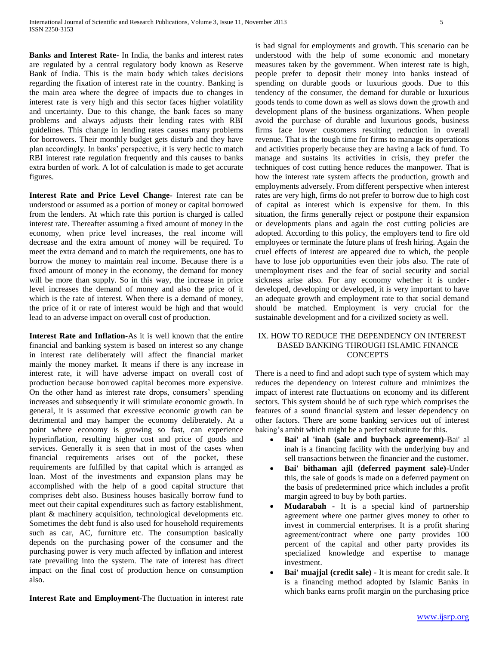**Banks and Interest Rate-** In India, the banks and interest rates are regulated by a central regulatory body known as Reserve Bank of India. This is the main body which takes decisions regarding the fixation of interest rate in the country. Banking is the main area where the degree of impacts due to changes in interest rate is very high and this sector faces higher volatility and uncertainty. Due to this change, the bank faces so many problems and always adjusts their lending rates with RBI guidelines. This change in lending rates causes many problems for borrowers. Their monthly budget gets disturb and they have plan accordingly. In banks' perspective, it is very hectic to match RBI interest rate regulation frequently and this causes to banks extra burden of work. A lot of calculation is made to get accurate figures.

**Interest Rate and Price Level Change-** Interest rate can be understood or assumed as a portion of money or capital borrowed from the lenders. At which rate this portion is charged is called interest rate. Thereafter assuming a fixed amount of money in the economy, when price level increases, the real income will decrease and the extra amount of money will be required. To meet the extra demand and to match the requirements, one has to borrow the money to maintain real income. Because there is a fixed amount of money in the economy, the demand for money will be more than supply. So in this way, the increase in price level increases the demand of money and also the price of it which is the rate of interest. When there is a demand of money, the price of it or rate of interest would be high and that would lead to an adverse impact on overall cost of production.

**Interest Rate and Inflation-**As it is well known that the entire financial and banking system is based on interest so any change in interest rate deliberately will affect the financial market mainly the money market. It means if there is any increase in interest rate, it will have adverse impact on overall cost of production because borrowed capital becomes more expensive. On the other hand as interest rate drops, consumers' spending increases and subsequently it will stimulate economic growth. In general, it is assumed that excessive economic growth can be detrimental and may hamper the economy deliberately. At a point where economy is growing so fast, can experience hyperinflation, resulting higher cost and price of goods and services. Generally it is seen that in most of the cases when financial requirements arises out of the pocket, these requirements are fulfilled by that capital which is arranged as loan. Most of the investments and expansion plans may be accomplished with the help of a good capital structure that comprises debt also. Business houses basically borrow fund to meet out their capital expenditures such as factory establishment, plant & machinery acquisition, technological developments etc. Sometimes the debt fund is also used for household requirements such as car, AC, furniture etc. The consumption basically depends on the purchasing power of the consumer and the purchasing power is very much affected by inflation and interest rate prevailing into the system. The rate of interest has direct impact on the final cost of production hence on consumption also.

**Interest Rate and Employment-**The fluctuation in interest rate

is bad signal for employments and growth. This scenario can be understood with the help of some economic and monetary measures taken by the government. When interest rate is high, people prefer to deposit their money into banks instead of spending on durable goods or luxurious goods. Due to this tendency of the consumer, the demand for durable or luxurious goods tends to come down as well as slows down the growth and development plans of the business organizations. When people avoid the purchase of durable and luxurious goods, business firms face lower customers resulting reduction in overall revenue. That is the tough time for firms to manage its operations and activities properly because they are having a lack of fund. To manage and sustains its activities in crisis, they prefer the techniques of cost cutting hence reduces the manpower. That is how the interest rate system affects the production, growth and employments adversely. From different perspective when interest rates are very high, firms do not prefer to borrow due to high cost of capital as interest which is expensive for them. In this situation, the firms generally reject or postpone their expansion or developments plans and again the cost cutting policies are adopted. According to this policy, the employers tend to fire old employees or terminate the future plans of fresh hiring. Again the cruel effects of interest are appeared due to which, the people have to lose job opportunities even their jobs also. The rate of unemployment rises and the fear of social security and social sickness arise also. For any economy whether it is underdeveloped, developing or developed, it is very important to have an adequate growth and employment rate to that social demand should be matched. Employment is very crucial for the sustainable development and for a civilized society as well.

## IX. HOW TO REDUCE THE DEPENDENCY ON INTEREST BASED BANKING THROUGH ISLAMIC FINANCE **CONCEPTS**

There is a need to find and adopt such type of system which may reduces the dependency on interest culture and minimizes the impact of interest rate fluctuations on economy and its different sectors. This system should be of such type which comprises the features of a sound financial system and lesser dependency on other factors. There are some banking services out of interest baking's ambit which might be a perfect substitute for this.

- **Bai' al 'inah (sale and buyback agreement)-**Bai' al inah is a financing facility with the underlying buy and sell transactions between the financier and the customer.
- **Bai' bithaman ajil (deferred payment sale)-**Under this, the sale of goods is made on a deferred payment on the basis of predetermined price which includes a profit margin agreed to buy by both parties.
- **Mudarabah -** It is a special kind of partnership agreement where one partner gives money to other to invest in commercial enterprises. It is a profit sharing agreement/contract where one party provides 100 percent of the capital and other party provides its specialized knowledge and expertise to manage investment.
- **Bai' muajjal (credit sale) -** It is meant for credit sale. It is a financing method adopted by Islamic Banks in which banks earns profit margin on the purchasing price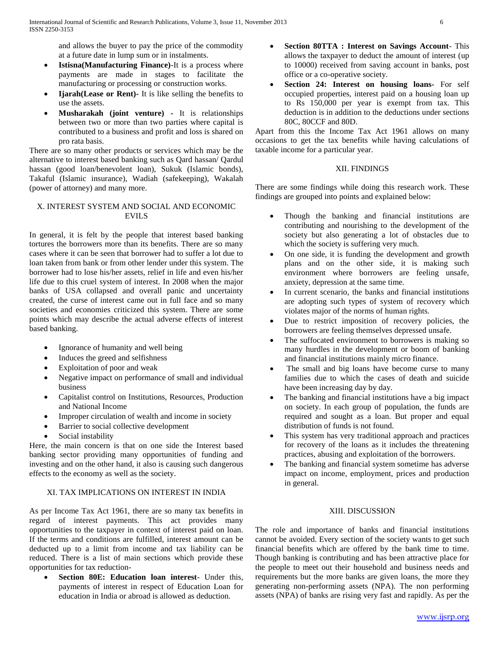and allows the buyer to pay the price of the commodity at a future date in lump sum or in instalments.

- **Istisna(Manufacturing Finance)**-It is a process where payments are made in stages to facilitate the manufacturing or processing or construction works.
- **Ijarah(Lease or Rent)-** It is like selling the benefits to use the assets.
- **Musharakah (joint venture) -** It is relationships between two or more than two parties where capital is contributed to a business and profit and loss is shared on pro rata basis.

There are so many other products or services which may be the alternative to interest based banking such as Qard hassan/ Qardul hassan (good loan/benevolent loan), Sukuk (Islamic bonds), Takaful (Islamic insurance), Wadiah (safekeeping), Wakalah (power of attorney) and many more.

#### X. INTEREST SYSTEM AND SOCIAL AND ECONOMIC EVILS

In general, it is felt by the people that interest based banking tortures the borrowers more than its benefits. There are so many cases where it can be seen that borrower had to suffer a lot due to loan taken from bank or from other lender under this system. The borrower had to lose his/her assets, relief in life and even his/her life due to this cruel system of interest. In 2008 when the major banks of USA collapsed and overall panic and uncertainty created, the curse of interest came out in full face and so many societies and economies criticized this system. There are some points which may describe the actual adverse effects of interest based banking.

- Ignorance of humanity and well being
- Induces the greed and selfishness
- Exploitation of poor and weak
- Negative impact on performance of small and individual business
- Capitalist control on Institutions, Resources, Production and National Income
- Improper circulation of wealth and income in society
- Barrier to social collective development
- Social instability

Here, the main concern is that on one side the Interest based banking sector providing many opportunities of funding and investing and on the other hand, it also is causing such dangerous effects to the economy as well as the society.

# XI. TAX IMPLICATIONS ON INTEREST IN INDIA

As per Income Tax Act 1961, there are so many tax benefits in regard of interest payments. This act provides many opportunities to the taxpayer in context of interest paid on loan. If the terms and conditions are fulfilled, interest amount can be deducted up to a limit from income and tax liability can be reduced. There is a list of main sections which provide these opportunities for tax reduction-

 **Section 80E: Education loan interest**- Under this, payments of interest in respect of Education Loan for education in India or abroad is allowed as deduction.

- **Section 80TTA : Interest on Savings Account** This allows the taxpayer to deduct the amount of interest (up to 10000) received from saving account in banks, post office or a co-operative society.
- **Section 24: Interest on housing loans-** For self occupied properties, interest paid on a housing loan up to Rs 150,000 per year is exempt from tax. This deduction is in addition to the deductions under sections 80C, 80CCF and 80D.

Apart from this the Income Tax Act 1961 allows on many occasions to get the tax benefits while having calculations of taxable income for a particular year.

#### XII. FINDINGS

There are some findings while doing this research work. These findings are grouped into points and explained below:

- Though the banking and financial institutions are contributing and nourishing to the development of the society but also generating a lot of obstacles due to which the society is suffering very much.
- On one side, it is funding the development and growth plans and on the other side, it is making such environment where borrowers are feeling unsafe, anxiety, depression at the same time.
- In current scenario, the banks and financial institutions are adopting such types of system of recovery which violates major of the norms of human rights.
- Due to restrict imposition of recovery policies, the borrowers are feeling themselves depressed unsafe.
- The suffocated environment to borrowers is making so many hurdles in the development or boom of banking and financial institutions mainly micro finance.
- The small and big loans have become curse to many families due to which the cases of death and suicide have been increasing day by day.
- The banking and financial institutions have a big impact on society. In each group of population, the funds are required and sought as a loan. But proper and equal distribution of funds is not found.
- This system has very traditional approach and practices for recovery of the loans as it includes the threatening practices, abusing and exploitation of the borrowers.
- The banking and financial system sometime has adverse impact on income, employment, prices and production in general.

#### XIII. DISCUSSION

The role and importance of banks and financial institutions cannot be avoided. Every section of the society wants to get such financial benefits which are offered by the bank time to time. Though banking is contributing and has been attractive place for the people to meet out their household and business needs and requirements but the more banks are given loans, the more they generating non-performing assets (NPA). The non performing assets (NPA) of banks are rising very fast and rapidly. As per the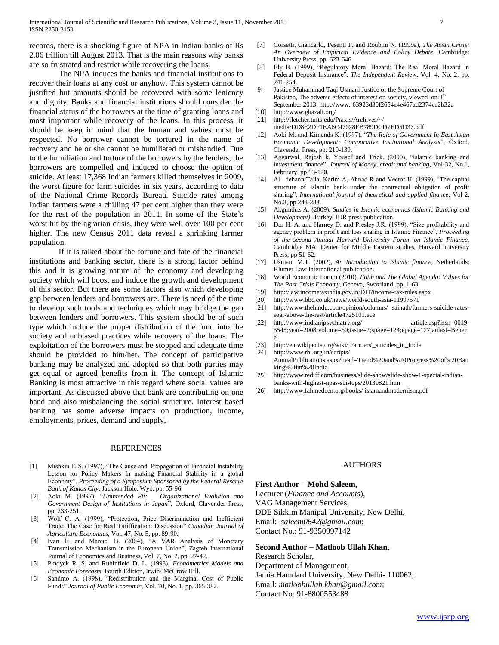records, there is a shocking figure of NPA in Indian banks of Rs 2.06 trillion till August 2013. That is the main reasons why banks are so frustrated and restrict while recovering the loans.

The NPA induces the banks and financial institutions to recover their loans at any cost or anyhow. This system cannot be justified but amounts should be recovered with some leniency and dignity. Banks and financial institutions should consider the financial status of the borrowers at the time of granting loans and most important while recovery of the loans. In this process, it should be keep in mind that the human and values must be respected. No borrower cannot be tortured in the name of recovery and he or she cannot be humiliated or mishandled. Due to the humiliation and torture of the borrowers by the lenders, the borrowers are compelled and induced to choose the option of suicide. At least 17,368 Indian farmers killed themselves in 2009, the worst figure for farm suicides in six years, according to data of the National Crime Records Bureau. Suicide rates among Indian farmers were a chilling 47 per cent higher than they were for the rest of the population in 2011. In some of the State's worst hit by the agrarian crisis, they were well over 100 per cent higher. The new Census 2011 data reveal a shrinking farmer population.

If it is talked about the fortune and fate of the financial institutions and banking sector, there is a strong factor behind this and it is growing nature of the economy and developing society which will boost and induce the growth and development of this sector. But there are some factors also which developing gap between lenders and borrowers are. There is need of the time to develop such tools and techniques which may bridge the gap between lenders and borrowers. This system should be of such type which include the proper distribution of the fund into the society and unbiased practices while recovery of the loans. The exploitation of the borrowers must be stopped and adequate time should be provided to him/her. The concept of participative banking may be analyzed and adopted so that both parties may get equal or agreed benefits from it. The concept of Islamic Banking is most attractive in this regard where social values are important. As discussed above that bank are contributing on one hand and also misbalancing the social structure. Interest based banking has some adverse impacts on production, income, employments, prices, demand and supply,

#### REFERENCES

- [1] Mishkin F. S. (1997), "The Cause and Propagation of Financial Instability Lesson for Policy Makers In making Financial Stability in a global Economy", *Proceeding of a Symposium Sponsored by the Federal Reserve Bank of Kanas City,* Jackson Hole, Wyo, pp. 55-96.
- [2] Aoki M. (1997), "*Unintended Fit: Organizational Evolution and Government Design of Institutions in Japan*", Oxford, Clavender Press, pp. 233-251.
- [3] Wolf C. A. (1999), "Protection, Price Discrimination and Inefficient Trade: The Case for Real Tariffication: Discussion" *Canadian Journal of Agriculture Economics*, Vol. 47, No. 5, pp. 89-90.
- [4] Ivan L. and Manuel B. (2004), "A VAR Analysis of Monetary Transmission Mechanism in the European Union", Zagreb International Journal of Economics and Business, Vol. 7, No. 2, pp. 27-42.
- [5] Pindyck R. S. and Rubinfield D. L. (1998), *Econometrics Models and Economic Forecasts,* Fourth Edition, Irwin/ McGrow Hill.
- [6] Sandmo A. (1998), "Redistribution and the Marginal Cost of Public Funds" *Journal of Public Economic,* Vol. 70, No. 1, pp. 365-382.
- [7] Corsetti, Giancarlo, Pesenti P. and Roubini N. (1999a), *The Asian Crisis: An Overview of Empirical Evidence and Policy Debate,* Cambridge: University Press, pp. 623-646.
- [8] Ely B. (1999), "Regulatory Moral Hazard: The Real Moral Hazard In Federal Deposit Insurance", *The Independent Review*, Vol. 4, No. 2, pp. 241-254.
- [9] Justice Muhammad Taqi Usmani Justice of the Supreme Court of Pakistan, The adverse effects of interest on society, viewed on 8<sup>th</sup> September 2013, http://www. 63923d30f2654c4e467ad2374cc2b32a
- [10] <http://www.ghazali.org/>
- [11] [http://fletcher.tufts.edu/Praxis/Archives/~/](http://fletcher.tufts.edu/Praxis/Archives/~/media/DD8E2DF1EA6C47028EB789DCD7ED5D37.pdf)  [media/DD8E2DF1EA6C47028EB789DCD7ED5D37.pdf](http://fletcher.tufts.edu/Praxis/Archives/~/media/DD8E2DF1EA6C47028EB789DCD7ED5D37.pdf)
- [12] Aoki M. and Kimends K. (1997), "*The Role of Government In East Asian Economic Development: Comparative Institutional Analysis*", Oxford,
- Clavender Press, pp. 210-139. [13] Aggarwal, Rajesh k, Yousef and Trick. (2000), "Islamic banking and investment finance", *Journal of Money, credit and banking,* Vol-32, No.1, February, pp 93-120.
- [14] Al –dehanniTalla, Karim A, Ahnad R and Vector H. (1999), "The capital structure of Islamic bank under the contractual obligation of profit sharing", *International journal of theoretical and applied finance,* Vol-2, No.3, pp 243-283.
- [15] Akgunduz A. (2009), *Studies in Islamic economics (Islamic Banking and Development)*, Turkey; IUR press publication.
- [16] Dar H. A. and Harney D. and Presley J.R. (1999), "Size profitability and agency problem in profit and loss sharing in Islamic Finance", *Proceeding of the second Annual Harvard University Forum on Islamic Finance,*  Cambridge MA: Center for Middle Eastern studies, Harvard university Press, pp 51-62.
- [17] Usmani M.T. (2002), *An Introduction to Islamic finance,* Netherlands; Klumer Law International publication.
- [18] World Economic Forum (2010), *Faith and The Global Agenda: Values for The Post Crisis Economy*, Geneva, Swaziland, pp. 1-63.
- [19] http://law.incometaxindia.gov.in/DIT/income-tax-rules.aspx
- [20] <http://www.bbc.co.uk/news/world-south-asia-11997571><br>[21] http://www.thehindu.com/opinion/columns/ sainath/farm
- [http://www.thehindu.com/opinion/columns/](http://www.thehindu.com/opinion/columns/sainath/farmers-suicide-rates-soar-above-the-rest/article4725101.ece) sainath/farmers-suicide-rates[soar-above-the-rest/article4725101.ece](http://www.thehindu.com/opinion/columns/sainath/farmers-suicide-rates-soar-above-the-rest/article4725101.ece)
- [22] [http://www.indianjpsychiatry.org/](http://www.indianjpsychiatry.org/article.asp?issn=0019-5545;year=2008;volume=50;issue=2;spage=124;epage=127;aulast=Behere) article.asp?issn=0019- [5545;year=2008;volume=50;issue=2;spage=124;epage=127;aulast=Beher](http://www.indianjpsychiatry.org/article.asp?issn=0019-5545;year=2008;volume=50;issue=2;spage=124;epage=127;aulast=Behere) [e](http://www.indianjpsychiatry.org/article.asp?issn=0019-5545;year=2008;volume=50;issue=2;spage=124;epage=127;aulast=Behere)
- [23] [http://en.wikipedia.org/wiki/](http://en.wikipedia.org/wiki/Farmers) Farmers'\_suicides\_in\_India
- [24] [http://www.rbi.org.in/scripts/](http://www.rbi.org.in/scripts/AnnualPublications.aspx?head=Trend%20and%20Progress%20of%20Banking%20in%20India)
- [AnnualPublications.aspx?head=Trend%20and%20Progress%20of%20Ban](http://www.rbi.org.in/scripts/AnnualPublications.aspx?head=Trend%20and%20Progress%20of%20Banking%20in%20India) [king%20in%20India](http://www.rbi.org.in/scripts/AnnualPublications.aspx?head=Trend%20and%20Progress%20of%20Banking%20in%20India)
- [25] [http://www.rediff.com/business/slide-show/slide-show-1-special-indian](http://www.rediff.com/business/slide-show/slide-show-1-special-indian-banks-with-highest-npas-sbi-tops/20130821.htm)[banks-with-highest-npas-sbi-tops/20130821.htm](http://www.rediff.com/business/slide-show/slide-show-1-special-indian-banks-with-highest-npas-sbi-tops/20130821.htm)
- [26] [http://www.fahmedeen.org/books/](http://www.fahmedeen.org/books/islamandmodernism.pdf) islamandmodernism.pdf

#### AUTHORS

#### **First Author** – **Mohd Saleem**,

Lecturer (*Finance and Accounts*), VAG Management Services, DDE Sikkim Manipal University, New Delhi, Email: *saleem0642@gmail.com*; Contact No.: 91-9350997142

#### **Second Author** – **Matloob Ullah Khan**,

Research Scholar, Department of Management, Jamia Hamdard University, New Delhi- 110062; Email: *matloobullah.khan@gmail.com*; Contact No: 91-8800553488